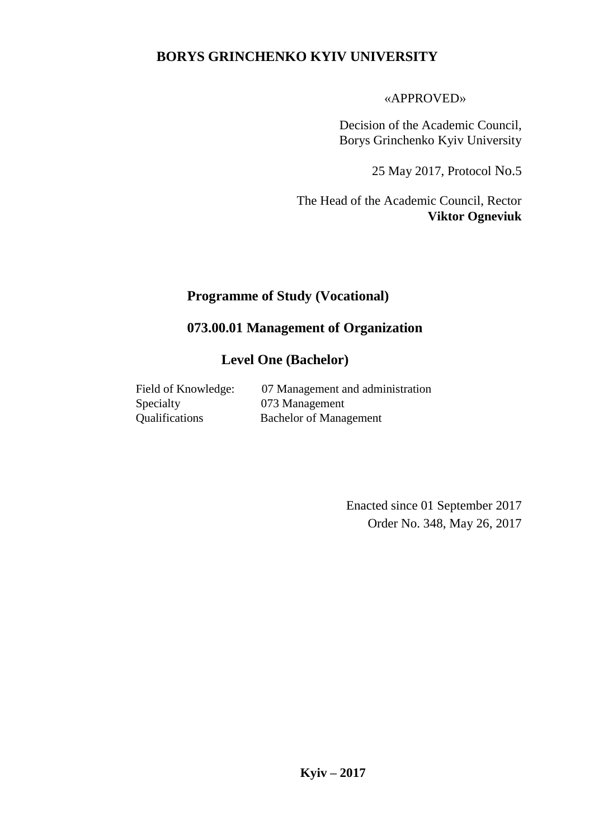#### **BORYS GRINCHENKO KYIV UNIVERSITY**

«APPROVED»

Decision of the Academic Council, Borys Grinchenko Kyiv University

25 May 2017, Protocol No.5

The Head of the Academic Council, Rector **Viktor Ogneviuk**

# **Programme of Study (Vocational)**

#### **073.00.01 Management of Organization**

#### **Level One (Bachelor)**

| Field of Knowledge:   | 07 Management and administration |
|-----------------------|----------------------------------|
| Specialty             | 073 Management                   |
| <b>Qualifications</b> | <b>Bachelor of Management</b>    |

Enacted since 01 September 2017 Order No. 348, May 26, 2017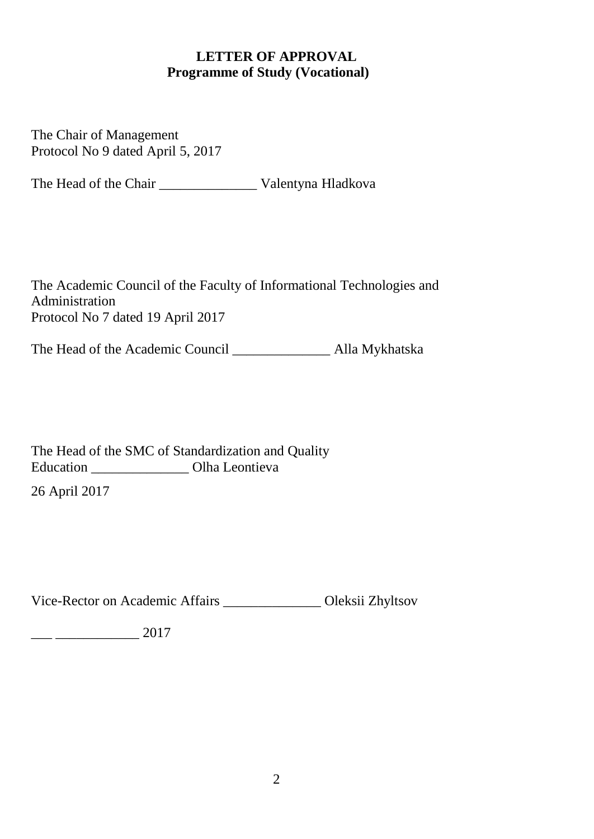### **LETTER OF APPROVAL Programme of Study (Vocational)**

The Chair of Management Protocol No 9 dated April 5, 2017

The Head of the Chair \_\_\_\_\_\_\_\_\_\_\_\_\_\_ Valentyna Hladkova

The Academic Council of the Faculty of Informational Technologies and Administration Protocol No 7 dated 19 April 2017

The Head of the Academic Council \_\_\_\_\_\_\_\_\_\_\_\_\_\_ Alla Mykhatska

The Head of the SMC of Standardization and Quality Education \_\_\_\_\_\_\_\_\_\_\_\_\_\_ Olha Leontieva

26 April 2017

Vice-Rector on Academic Affairs \_\_\_\_\_\_\_\_\_\_\_\_\_\_ Oleksii Zhyltsov

 $\frac{1}{2017}$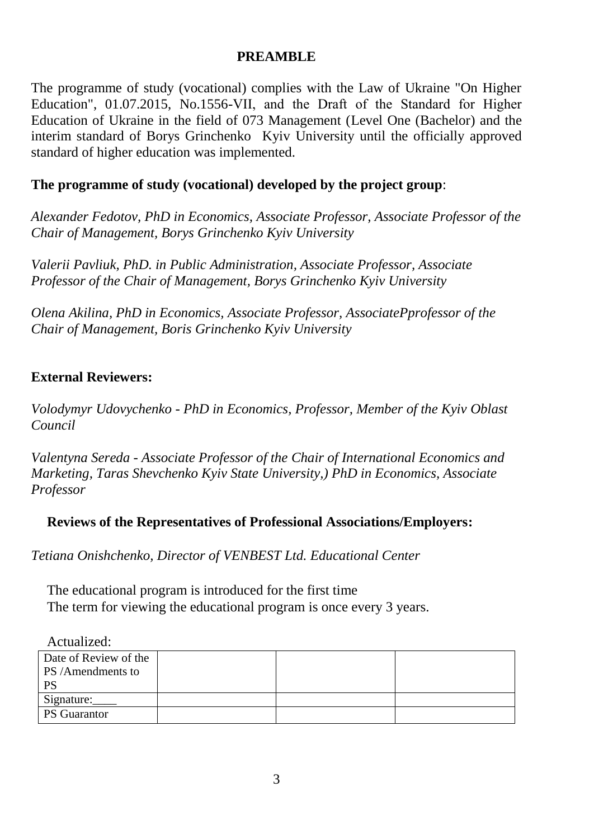#### **PREAMBLE**

The programme of study (vocational) complies with the Law of Ukraine "On Higher Education", 01.07.2015, No.1556-VІІ, and the Draft of the Standard for Higher Education of Ukraine in the field of 073 Management (Level One (Bachelor) and the interim standard of Borys Grinchenko Kyiv University until the officially approved standard of higher education was implemented.

#### **The programme of study (vocational) developed by the project group**:

*Alexander Fedotov, PhD in Economics, Associate Professor, Associate Professor of the Chair of Management, Borys Grinchenko Kyiv University*

*Valerii Pavliuk, PhD. in Public Administration, Associate Professor, Associate Professor of the Chair of Management, Borys Grinchenko Kyiv University* 

*Olena Akilina, PhD in Economics, Associate Professor, AssociatePprofessor of the Chair of Management, Boris Grinchenko Kyiv University* 

#### **External Reviewers:**

*Volodymyr Udovychenko - PhD in Economics, Professor, Member of the Kyiv Oblast Council*

*Valentyna Sereda - Associate Professor of the Chair of International Economics and Marketing, Taras Shevchenko Kyiv State University,) PhD in Economics, Associate Professor*

#### **Reviews of the Representatives of Professional Associations/Employers:**

*Tetiana Onishchenko, Director of VENBEST Ltd. Educational Center* 

The educational program is introduced for the first time The term for viewing the educational program is once every 3 years.

| Actualized:           |  |  |
|-----------------------|--|--|
| Date of Review of the |  |  |
| PS /Amendments to     |  |  |
| <b>PS</b>             |  |  |
| Signature:            |  |  |
| <b>PS</b> Guarantor   |  |  |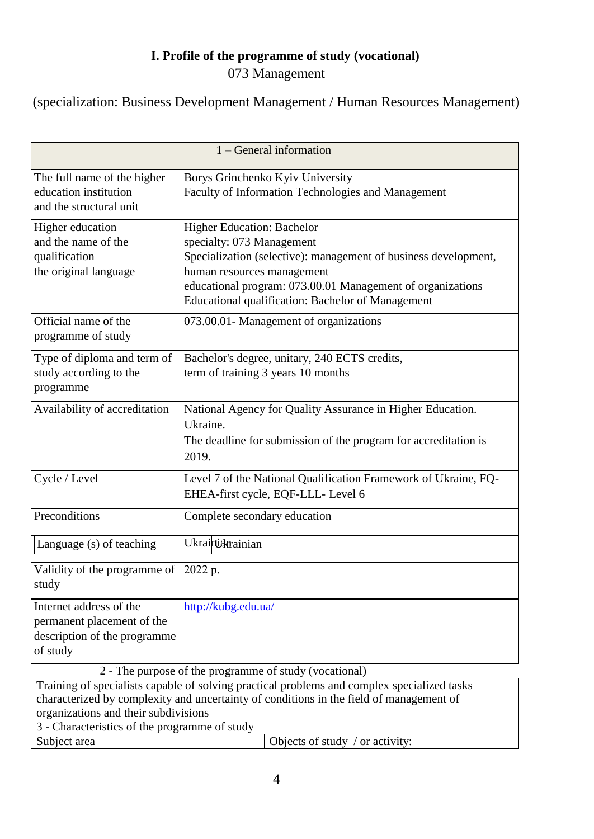## **І. Profile of the programme of study (vocational)** 073 Management

(specialization: Business Development Management / Human Resources Management)

| $1 - General information$                                                                         |                                                                                                                                                                                                                                                                                    |  |  |
|---------------------------------------------------------------------------------------------------|------------------------------------------------------------------------------------------------------------------------------------------------------------------------------------------------------------------------------------------------------------------------------------|--|--|
| The full name of the higher<br>education institution<br>and the structural unit                   | Borys Grinchenko Kyiv University<br>Faculty of Information Technologies and Management                                                                                                                                                                                             |  |  |
| Higher education<br>and the name of the<br>qualification<br>the original language                 | <b>Higher Education: Bachelor</b><br>specialty: 073 Management<br>Specialization (selective): management of business development,<br>human resources management<br>educational program: 073.00.01 Management of organizations<br>Educational qualification: Bachelor of Management |  |  |
| Official name of the<br>programme of study                                                        | 073.00.01- Management of organizations                                                                                                                                                                                                                                             |  |  |
| Type of diploma and term of<br>study according to the<br>programme                                | Bachelor's degree, unitary, 240 ECTS credits,<br>term of training 3 years 10 months                                                                                                                                                                                                |  |  |
| Availability of accreditation                                                                     | National Agency for Quality Assurance in Higher Education.<br>Ukraine.<br>The deadline for submission of the program for accreditation is<br>2019.                                                                                                                                 |  |  |
| Cycle / Level                                                                                     | Level 7 of the National Qualification Framework of Ukraine, FQ-<br>EHEA-first cycle, EQF-LLL- Level 6                                                                                                                                                                              |  |  |
| Preconditions                                                                                     | Complete secondary education                                                                                                                                                                                                                                                       |  |  |
| Language (s) of teaching                                                                          | Ukrainiahainian                                                                                                                                                                                                                                                                    |  |  |
| Validity of the programme of<br>study                                                             | 2022 p.                                                                                                                                                                                                                                                                            |  |  |
| Internet address of the<br>permanent placement of the<br>description of the programme<br>of study | http://kubg.edu.ua/<br>2 - The purpose of the programme of study (vocational)                                                                                                                                                                                                      |  |  |

Training of specialists capable of solving practical problems and complex specialized tasks characterized by complexity and uncertainty of conditions in the field of management of organizations and their subdivisions 3 - Characteristics of the programme of study

| 9 - Characteristics of the programme of study |                                         |
|-----------------------------------------------|-----------------------------------------|
| Subject area                                  | $\vert$ Objects of study / or activity: |
|                                               |                                         |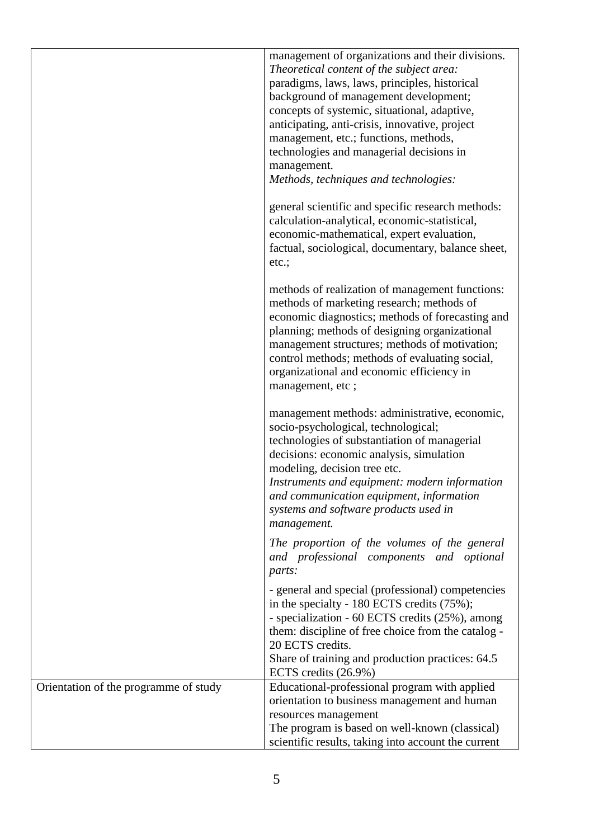|                                       | management of organizations and their divisions.<br>Theoretical content of the subject area:<br>paradigms, laws, laws, principles, historical<br>background of management development;<br>concepts of systemic, situational, adaptive,<br>anticipating, anti-crisis, innovative, project<br>management, etc.; functions, methods,<br>technologies and managerial decisions in<br>management.<br>Methods, techniques and technologies: |
|---------------------------------------|---------------------------------------------------------------------------------------------------------------------------------------------------------------------------------------------------------------------------------------------------------------------------------------------------------------------------------------------------------------------------------------------------------------------------------------|
|                                       | general scientific and specific research methods:<br>calculation-analytical, economic-statistical,<br>economic-mathematical, expert evaluation,<br>factual, sociological, documentary, balance sheet,<br>etc.;                                                                                                                                                                                                                        |
|                                       | methods of realization of management functions:<br>methods of marketing research; methods of<br>economic diagnostics; methods of forecasting and<br>planning; methods of designing organizational<br>management structures; methods of motivation;<br>control methods; methods of evaluating social,<br>organizational and economic efficiency in<br>management, etc;                                                                 |
|                                       | management methods: administrative, economic,<br>socio-psychological, technological;<br>technologies of substantiation of managerial<br>decisions: economic analysis, simulation<br>modeling, decision tree etc.<br>Instruments and equipment: modern information<br>and communication equipment, information<br>systems and software products used in<br>management.                                                                 |
|                                       | The proportion of the volumes of the general<br>and professional components and optional<br>parts:                                                                                                                                                                                                                                                                                                                                    |
|                                       | - general and special (professional) competencies<br>in the specialty - 180 ECTS credits (75%);<br>- specialization - 60 ECTS credits (25%), among<br>them: discipline of free choice from the catalog -<br>20 ECTS credits.<br>Share of training and production practices: 64.5                                                                                                                                                      |
| Orientation of the programme of study | ECTS credits (26.9%)<br>Educational-professional program with applied                                                                                                                                                                                                                                                                                                                                                                 |
|                                       | orientation to business management and human                                                                                                                                                                                                                                                                                                                                                                                          |
|                                       | resources management                                                                                                                                                                                                                                                                                                                                                                                                                  |
|                                       | The program is based on well-known (classical)                                                                                                                                                                                                                                                                                                                                                                                        |
|                                       | scientific results, taking into account the current                                                                                                                                                                                                                                                                                                                                                                                   |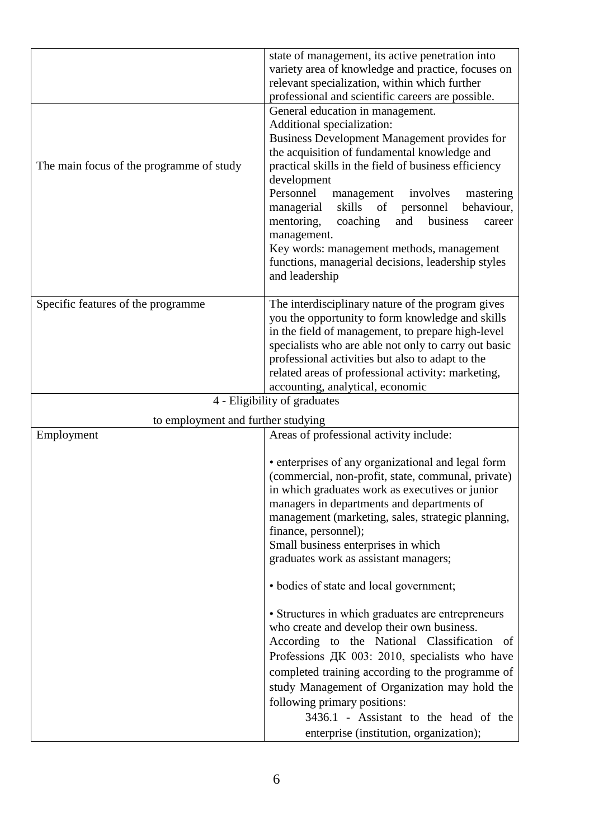|                                          | state of management, its active penetration into         |
|------------------------------------------|----------------------------------------------------------|
|                                          | variety area of knowledge and practice, focuses on       |
|                                          | relevant specialization, within which further            |
|                                          | professional and scientific careers are possible.        |
|                                          | General education in management.                         |
|                                          | Additional specialization:                               |
|                                          | Business Development Management provides for             |
|                                          | the acquisition of fundamental knowledge and             |
| The main focus of the programme of study | practical skills in the field of business efficiency     |
|                                          | development                                              |
|                                          | Personnel<br>management involves<br>mastering            |
|                                          | skills<br>of<br>personnel<br>behaviour,<br>managerial    |
|                                          | mentoring,<br>business<br>coaching<br>and<br>career      |
|                                          | management.<br>Key words: management methods, management |
|                                          | functions, managerial decisions, leadership styles       |
|                                          | and leadership                                           |
|                                          |                                                          |
| Specific features of the programme       | The interdisciplinary nature of the program gives        |
|                                          | you the opportunity to form knowledge and skills         |
|                                          | in the field of management, to prepare high-level        |
|                                          | specialists who are able not only to carry out basic     |
|                                          | professional activities but also to adapt to the         |
|                                          | related areas of professional activity: marketing,       |
|                                          | accounting, analytical, economic                         |
|                                          | 4 - Eligibility of graduates                             |
| to employment and further studying       |                                                          |
| Employment                               | Areas of professional activity include:                  |
|                                          | • enterprises of any organizational and legal form       |
|                                          | (commercial, non-profit, state, communal, private)       |
|                                          | in which graduates work as executives or junior          |
|                                          | managers in departments and departments of               |
|                                          | management (marketing, sales, strategic planning,        |
|                                          | finance, personnel);                                     |
|                                          | Small business enterprises in which                      |
|                                          | graduates work as assistant managers;                    |
|                                          | • bodies of state and local government;                  |
|                                          | • Structures in which graduates are entrepreneurs        |
|                                          | who create and develop their own business.               |
|                                          |                                                          |
|                                          | According to the National Classification of              |
|                                          | Professions ДК 003: 2010, specialists who have           |
|                                          | completed training according to the programme of         |
|                                          | study Management of Organization may hold the            |
|                                          | following primary positions:                             |
|                                          | 3436.1 - Assistant to the head of the                    |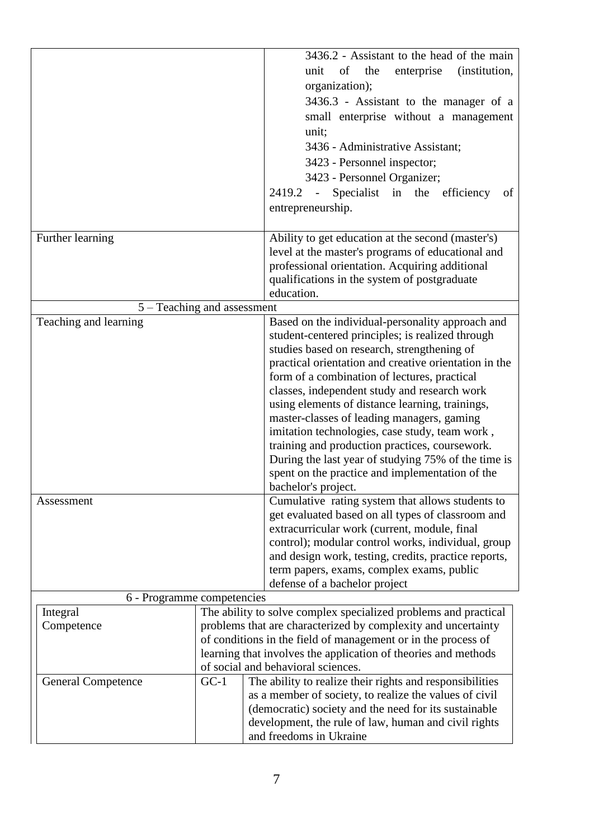|                             |                                                                 | 3436.2 - Assistant to the head of the main                                                      |  |  |
|-----------------------------|-----------------------------------------------------------------|-------------------------------------------------------------------------------------------------|--|--|
|                             |                                                                 | of<br>the<br>enterprise<br>(institution,<br>unit                                                |  |  |
|                             |                                                                 | organization);                                                                                  |  |  |
|                             |                                                                 | 3436.3 - Assistant to the manager of a                                                          |  |  |
|                             |                                                                 | small enterprise without a management                                                           |  |  |
|                             |                                                                 | unit;                                                                                           |  |  |
|                             |                                                                 | 3436 - Administrative Assistant;                                                                |  |  |
|                             |                                                                 | 3423 - Personnel inspector;                                                                     |  |  |
|                             |                                                                 | 3423 - Personnel Organizer;                                                                     |  |  |
|                             |                                                                 | 2419.2 - Specialist in the efficiency<br>of                                                     |  |  |
|                             |                                                                 | entrepreneurship.                                                                               |  |  |
|                             |                                                                 |                                                                                                 |  |  |
| Further learning            |                                                                 | Ability to get education at the second (master's)                                               |  |  |
|                             |                                                                 | level at the master's programs of educational and                                               |  |  |
|                             |                                                                 | professional orientation. Acquiring additional                                                  |  |  |
|                             |                                                                 | qualifications in the system of postgraduate                                                    |  |  |
|                             |                                                                 | education.                                                                                      |  |  |
| 5 – Teaching and assessment |                                                                 |                                                                                                 |  |  |
| Teaching and learning       |                                                                 | Based on the individual-personality approach and                                                |  |  |
|                             |                                                                 | student-centered principles; is realized through                                                |  |  |
|                             |                                                                 | studies based on research, strengthening of                                                     |  |  |
|                             |                                                                 | practical orientation and creative orientation in the                                           |  |  |
|                             |                                                                 | form of a combination of lectures, practical                                                    |  |  |
|                             |                                                                 | classes, independent study and research work<br>using elements of distance learning, trainings, |  |  |
|                             |                                                                 |                                                                                                 |  |  |
|                             |                                                                 | master-classes of leading managers, gaming<br>imitation technologies, case study, team work,    |  |  |
|                             |                                                                 | training and production practices, coursework.                                                  |  |  |
|                             |                                                                 | During the last year of studying 75% of the time is                                             |  |  |
|                             |                                                                 | spent on the practice and implementation of the                                                 |  |  |
|                             |                                                                 | bachelor's project.                                                                             |  |  |
| Assessment                  |                                                                 | Cumulative rating system that allows students to                                                |  |  |
|                             |                                                                 | get evaluated based on all types of classroom and                                               |  |  |
|                             |                                                                 | extracurricular work (current, module, final                                                    |  |  |
|                             |                                                                 | control); modular control works, individual, group                                              |  |  |
|                             |                                                                 | and design work, testing, credits, practice reports,                                            |  |  |
|                             |                                                                 | term papers, exams, complex exams, public                                                       |  |  |
|                             |                                                                 | defense of a bachelor project                                                                   |  |  |
| 6 - Programme competencies  |                                                                 |                                                                                                 |  |  |
| Integral                    | The ability to solve complex specialized problems and practical |                                                                                                 |  |  |
| Competence                  |                                                                 | problems that are characterized by complexity and uncertainty                                   |  |  |
|                             | of conditions in the field of management or in the process of   |                                                                                                 |  |  |
|                             | learning that involves the application of theories and methods  |                                                                                                 |  |  |
|                             | of social and behavioral sciences.                              |                                                                                                 |  |  |
| <b>General Competence</b>   | $GC-1$                                                          | The ability to realize their rights and responsibilities                                        |  |  |
|                             |                                                                 | as a member of society, to realize the values of civil                                          |  |  |
|                             |                                                                 | (democratic) society and the need for its sustainable                                           |  |  |
|                             |                                                                 | development, the rule of law, human and civil rights                                            |  |  |
|                             |                                                                 | and freedoms in Ukraine                                                                         |  |  |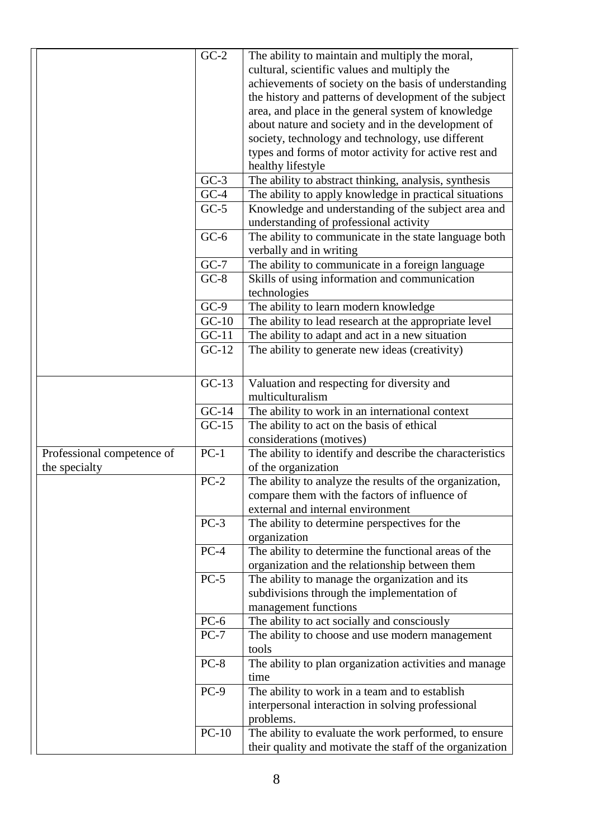|                            | $\overline{GC-2}$  | The ability to maintain and multiply the moral,          |
|----------------------------|--------------------|----------------------------------------------------------|
|                            |                    | cultural, scientific values and multiply the             |
|                            |                    | achievements of society on the basis of understanding    |
|                            |                    | the history and patterns of development of the subject   |
|                            |                    | area, and place in the general system of knowledge       |
|                            |                    | about nature and society and in the development of       |
|                            |                    | society, technology and technology, use different        |
|                            |                    | types and forms of motor activity for active rest and    |
|                            |                    | healthy lifestyle                                        |
|                            | $GC-3$             | The ability to abstract thinking, analysis, synthesis    |
|                            | $GC-4$             | The ability to apply knowledge in practical situations   |
|                            | $GC-5$             | Knowledge and understanding of the subject area and      |
|                            |                    | understanding of professional activity                   |
|                            | $GC-6$             | The ability to communicate in the state language both    |
|                            |                    | verbally and in writing                                  |
|                            | $GC-7$             | The ability to communicate in a foreign language         |
|                            | $GC-8$             | Skills of using information and communication            |
|                            |                    | technologies                                             |
|                            | $GC-9$             | The ability to learn modern knowledge                    |
|                            | $GC-10$            | The ability to lead research at the appropriate level    |
|                            | $GC-11$            | The ability to adapt and act in a new situation          |
|                            | $\overline{GC-12}$ | The ability to generate new ideas (creativity)           |
|                            | $GC-13$            | Valuation and respecting for diversity and               |
|                            |                    | multiculturalism                                         |
|                            | $GC-14$            | The ability to work in an international context          |
|                            | $GC-15$            | The ability to act on the basis of ethical               |
|                            |                    | considerations (motives)                                 |
| Professional competence of | $PC-1$             | The ability to identify and describe the characteristics |
| the specialty              |                    | of the organization                                      |
|                            | $PC-2$             | The ability to analyze the results of the organization,  |
|                            |                    | compare them with the factors of influence of            |
|                            |                    | external and internal environment                        |
|                            | $PC-3$             | The ability to determine perspectives for the            |
|                            |                    | organization                                             |
|                            | $PC-4$             | The ability to determine the functional areas of the     |
|                            |                    | organization and the relationship between them           |
|                            | $PC-5$             | The ability to manage the organization and its           |
|                            |                    | subdivisions through the implementation of               |
|                            |                    | management functions                                     |
|                            | $PC-6$             | The ability to act socially and consciously              |
|                            | $PC-7$             | The ability to choose and use modern management          |
|                            |                    | tools                                                    |
|                            | $PC-8$             | The ability to plan organization activities and manage   |
|                            |                    | time                                                     |
|                            | $PC-9$             | The ability to work in a team and to establish           |
|                            |                    | interpersonal interaction in solving professional        |
|                            |                    | problems.                                                |
|                            | $PC-10$            | The ability to evaluate the work performed, to ensure    |
|                            |                    | their quality and motivate the staff of the organization |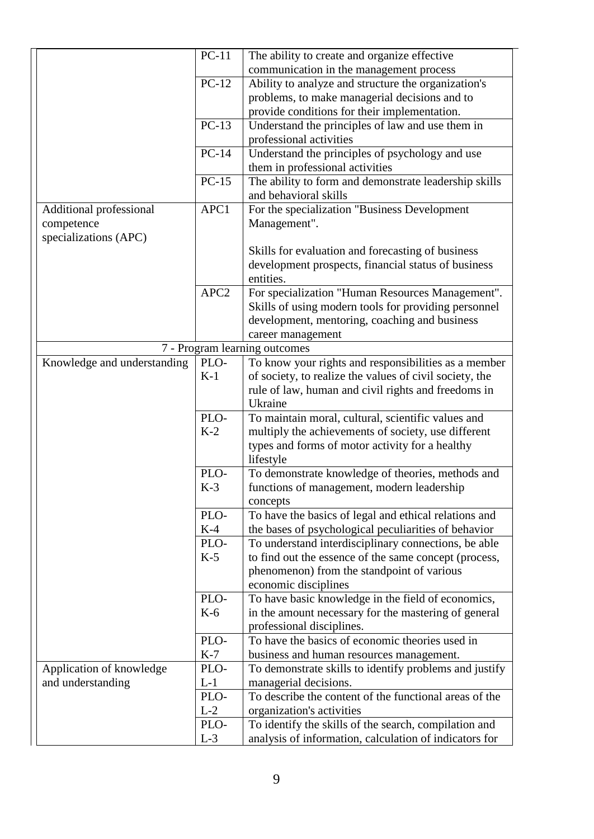|                             | $PC-11$          | The ability to create and organize effective            |  |  |
|-----------------------------|------------------|---------------------------------------------------------|--|--|
|                             |                  | communication in the management process                 |  |  |
|                             | $PC-12$          | Ability to analyze and structure the organization's     |  |  |
|                             |                  | problems, to make managerial decisions and to           |  |  |
|                             |                  | provide conditions for their implementation.            |  |  |
|                             | $PC-13$          | Understand the principles of law and use them in        |  |  |
|                             |                  | professional activities                                 |  |  |
|                             | $PC-14$          | Understand the principles of psychology and use         |  |  |
|                             |                  | them in professional activities                         |  |  |
|                             | $PC-15$          | The ability to form and demonstrate leadership skills   |  |  |
|                             |                  | and behavioral skills                                   |  |  |
| Additional professional     | APC1             | For the specialization "Business Development            |  |  |
| competence                  |                  | Management".                                            |  |  |
| specializations (APC)       |                  |                                                         |  |  |
|                             |                  | Skills for evaluation and forecasting of business       |  |  |
|                             |                  | development prospects, financial status of business     |  |  |
|                             |                  | entities.                                               |  |  |
|                             | APC <sub>2</sub> | For specialization "Human Resources Management".        |  |  |
|                             |                  | Skills of using modern tools for providing personnel    |  |  |
|                             |                  | development, mentoring, coaching and business           |  |  |
|                             |                  | career management                                       |  |  |
|                             |                  | 7 - Program learning outcomes                           |  |  |
| Knowledge and understanding | PLO-             | To know your rights and responsibilities as a member    |  |  |
|                             | $K-1$            | of society, to realize the values of civil society, the |  |  |
|                             |                  | rule of law, human and civil rights and freedoms in     |  |  |
|                             |                  | Ukraine                                                 |  |  |
|                             | PLO-             | To maintain moral, cultural, scientific values and      |  |  |
|                             | $K-2$            | multiply the achievements of society, use different     |  |  |
|                             |                  | types and forms of motor activity for a healthy         |  |  |
|                             |                  | lifestyle                                               |  |  |
|                             | PLO-             | To demonstrate knowledge of theories, methods and       |  |  |
|                             | $K-3$            | functions of management, modern leadership              |  |  |
|                             |                  | concepts                                                |  |  |
|                             | PLO-             | To have the basics of legal and ethical relations and   |  |  |
|                             | $K-4$            | the bases of psychological peculiarities of behavior    |  |  |
|                             | PLO-             | To understand interdisciplinary connections, be able    |  |  |
|                             | $K-5$            | to find out the essence of the same concept (process,   |  |  |
|                             |                  | phenomenon) from the standpoint of various              |  |  |
|                             |                  | economic disciplines                                    |  |  |
|                             | PLO-             | To have basic knowledge in the field of economics,      |  |  |
|                             | $K-6$            | in the amount necessary for the mastering of general    |  |  |
|                             |                  | professional disciplines.                               |  |  |
|                             | PLO-             | To have the basics of economic theories used in         |  |  |
|                             | $K-7$            | business and human resources management.                |  |  |
| Application of knowledge    | PLO-             | To demonstrate skills to identify problems and justify  |  |  |
| and understanding           | $L-1$            | managerial decisions.                                   |  |  |
|                             | PLO-             | To describe the content of the functional areas of the  |  |  |
|                             | $L-2$            | organization's activities                               |  |  |
|                             | PLO-             | To identify the skills of the search, compilation and   |  |  |
|                             | $L-3$            | analysis of information, calculation of indicators for  |  |  |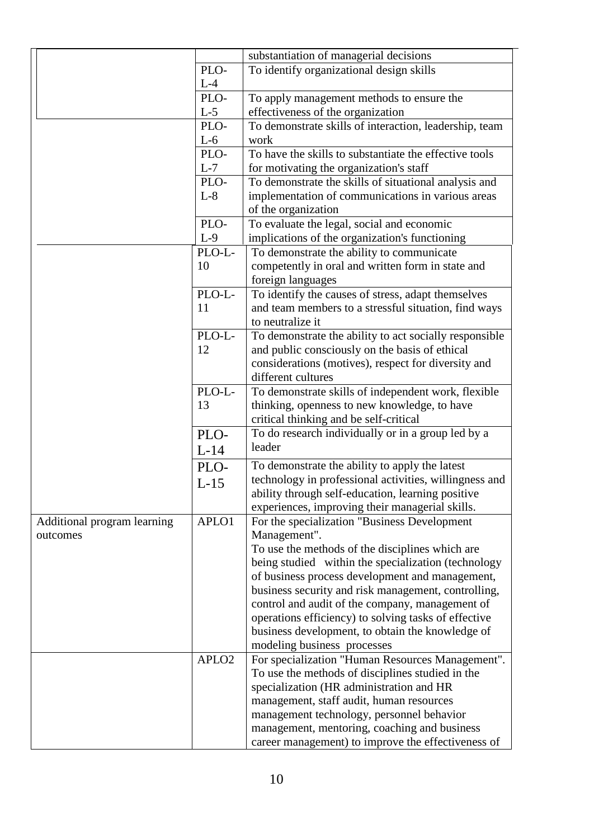|                             |                   | substantiation of managerial decisions                 |
|-----------------------------|-------------------|--------------------------------------------------------|
|                             | PLO-              | To identify organizational design skills               |
|                             | $L-4$             |                                                        |
|                             | PLO-              | To apply management methods to ensure the              |
|                             | $L-5$             | effectiveness of the organization                      |
|                             | PLO-              | To demonstrate skills of interaction, leadership, team |
|                             | $L-6$             | work                                                   |
|                             | PLO-              | To have the skills to substantiate the effective tools |
|                             | $L-7$             | for motivating the organization's staff                |
|                             | PLO-              | To demonstrate the skills of situational analysis and  |
|                             | $L-8$             |                                                        |
|                             |                   | implementation of communications in various areas      |
|                             |                   | of the organization                                    |
|                             | PLO-              | To evaluate the legal, social and economic             |
|                             | $L-9$             | implications of the organization's functioning         |
|                             | PLO-L-            | To demonstrate the ability to communicate              |
|                             | 10                | competently in oral and written form in state and      |
|                             |                   | foreign languages                                      |
|                             | PLO-L-            | To identify the causes of stress, adapt themselves     |
|                             | 11                | and team members to a stressful situation, find ways   |
|                             |                   | to neutralize it                                       |
|                             | PLO-L-            | To demonstrate the ability to act socially responsible |
|                             | 12                | and public consciously on the basis of ethical         |
|                             |                   | considerations (motives), respect for diversity and    |
|                             |                   | different cultures                                     |
|                             | PLO-L-            | To demonstrate skills of independent work, flexible    |
|                             | 13                | thinking, openness to new knowledge, to have           |
|                             |                   | critical thinking and be self-critical                 |
|                             | PLO-              | To do research individually or in a group led by a     |
|                             |                   | leader                                                 |
|                             | $L-14$            |                                                        |
|                             | PLO-              | To demonstrate the ability to apply the latest         |
|                             | $L-15$            | technology in professional activities, willingness and |
|                             |                   | ability through self-education, learning positive      |
|                             |                   | experiences, improving their managerial skills.        |
| Additional program learning | APLO1             | For the specialization "Business Development           |
| outcomes                    |                   | Management".                                           |
|                             |                   | To use the methods of the disciplines which are        |
|                             |                   | being studied within the specialization (technology    |
|                             |                   | of business process development and management,        |
|                             |                   | business security and risk management, controlling,    |
|                             |                   | control and audit of the company, management of        |
|                             |                   | operations efficiency) to solving tasks of effective   |
|                             |                   | business development, to obtain the knowledge of       |
|                             |                   | modeling business processes                            |
|                             | APLO <sub>2</sub> | For specialization "Human Resources Management".       |
|                             |                   | To use the methods of disciplines studied in the       |
|                             |                   | specialization (HR administration and HR               |
|                             |                   | management, staff audit, human resources               |
|                             |                   | management technology, personnel behavior              |
|                             |                   |                                                        |
|                             |                   | management, mentoring, coaching and business           |
|                             |                   | career management) to improve the effectiveness of     |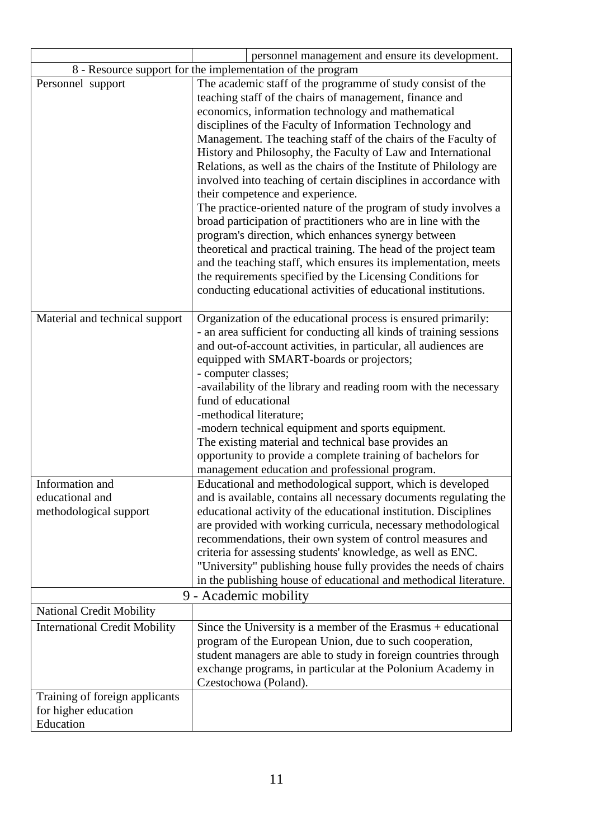|                                                                     | personnel management and ensure its development.                                                                                                                                                                                                                                                                                                                                                                                                                                                                                                                                                                                                                                                                                                                                                                                                                                                                                                                                                                           |  |
|---------------------------------------------------------------------|----------------------------------------------------------------------------------------------------------------------------------------------------------------------------------------------------------------------------------------------------------------------------------------------------------------------------------------------------------------------------------------------------------------------------------------------------------------------------------------------------------------------------------------------------------------------------------------------------------------------------------------------------------------------------------------------------------------------------------------------------------------------------------------------------------------------------------------------------------------------------------------------------------------------------------------------------------------------------------------------------------------------------|--|
| 8 - Resource support for the implementation of the program          |                                                                                                                                                                                                                                                                                                                                                                                                                                                                                                                                                                                                                                                                                                                                                                                                                                                                                                                                                                                                                            |  |
| Personnel support                                                   | The academic staff of the programme of study consist of the<br>teaching staff of the chairs of management, finance and<br>economics, information technology and mathematical<br>disciplines of the Faculty of Information Technology and<br>Management. The teaching staff of the chairs of the Faculty of<br>History and Philosophy, the Faculty of Law and International<br>Relations, as well as the chairs of the Institute of Philology are<br>involved into teaching of certain disciplines in accordance with<br>their competence and experience.<br>The practice-oriented nature of the program of study involves a<br>broad participation of practitioners who are in line with the<br>program's direction, which enhances synergy between<br>theoretical and practical training. The head of the project team<br>and the teaching staff, which ensures its implementation, meets<br>the requirements specified by the Licensing Conditions for<br>conducting educational activities of educational institutions. |  |
| Material and technical support                                      | Organization of the educational process is ensured primarily:<br>- an area sufficient for conducting all kinds of training sessions<br>and out-of-account activities, in particular, all audiences are<br>equipped with SMART-boards or projectors;<br>- computer classes;<br>-availability of the library and reading room with the necessary<br>fund of educational<br>-methodical literature;<br>-modern technical equipment and sports equipment.<br>The existing material and technical base provides an<br>opportunity to provide a complete training of bachelors for<br>management education and professional program.                                                                                                                                                                                                                                                                                                                                                                                             |  |
| Information and                                                     | Educational and methodological support, which is developed                                                                                                                                                                                                                                                                                                                                                                                                                                                                                                                                                                                                                                                                                                                                                                                                                                                                                                                                                                 |  |
| educational and<br>methodological support                           | and is available, contains all necessary documents regulating the<br>educational activity of the educational institution. Disciplines<br>are provided with working curricula, necessary methodological<br>recommendations, their own system of control measures and<br>criteria for assessing students' knowledge, as well as ENC.<br>"University" publishing house fully provides the needs of chairs<br>in the publishing house of educational and methodical literature.                                                                                                                                                                                                                                                                                                                                                                                                                                                                                                                                                |  |
| 9 - Academic mobility                                               |                                                                                                                                                                                                                                                                                                                                                                                                                                                                                                                                                                                                                                                                                                                                                                                                                                                                                                                                                                                                                            |  |
| <b>National Credit Mobility</b>                                     |                                                                                                                                                                                                                                                                                                                                                                                                                                                                                                                                                                                                                                                                                                                                                                                                                                                                                                                                                                                                                            |  |
| <b>International Credit Mobility</b>                                | Since the University is a member of the Erasmus $+$ educational<br>program of the European Union, due to such cooperation,<br>student managers are able to study in foreign countries through<br>exchange programs, in particular at the Polonium Academy in<br>Czestochowa (Poland).                                                                                                                                                                                                                                                                                                                                                                                                                                                                                                                                                                                                                                                                                                                                      |  |
| Training of foreign applicants<br>for higher education<br>Education |                                                                                                                                                                                                                                                                                                                                                                                                                                                                                                                                                                                                                                                                                                                                                                                                                                                                                                                                                                                                                            |  |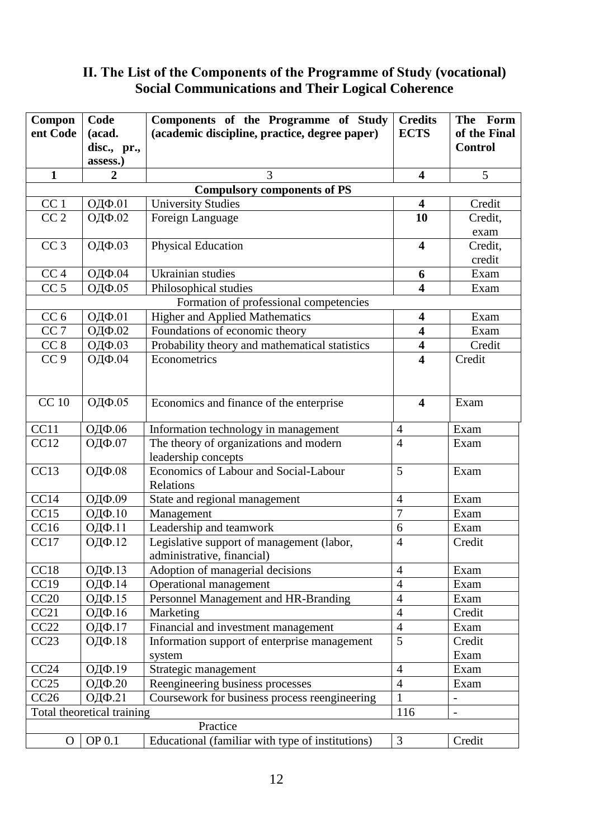# **ІІ. The List of the Components of the Programme of Study (vocational) Social Communications and Their Logical Coherence**

| Compon            | Code                       | Components of the Programme of Study               | <b>Credits</b>          | The Form                 |  |
|-------------------|----------------------------|----------------------------------------------------|-------------------------|--------------------------|--|
| ent Code          | (acad.                     | (academic discipline, practice, degree paper)      | <b>ECTS</b>             | of the Final             |  |
|                   | disc., pr.,                |                                                    |                         | <b>Control</b>           |  |
|                   | assess.)                   |                                                    |                         |                          |  |
| $\mathbf{1}$      | $\overline{2}$             | 3                                                  | $\overline{\mathbf{4}}$ | 5                        |  |
|                   |                            | <b>Compulsory components of PS</b>                 |                         |                          |  |
| CC <sub>1</sub>   | ОДФ.01                     | <b>University Studies</b>                          | $\overline{\mathbf{4}}$ | Credit                   |  |
| $\overline{CC}$ 2 | ОДФ.02                     | Foreign Language                                   | 10                      | Credit,                  |  |
|                   |                            |                                                    |                         | exam                     |  |
| CC <sub>3</sub>   | ОДФ.03                     | <b>Physical Education</b>                          | $\overline{\mathbf{4}}$ | Credit,                  |  |
|                   |                            |                                                    |                         | credit                   |  |
| CC <sub>4</sub>   | ОДФ.04                     | <b>Ukrainian</b> studies                           | 6                       | Exam                     |  |
| CC <sub>5</sub>   | ОДФ.05                     | Philosophical studies                              | 4                       | Exam                     |  |
|                   |                            | Formation of professional competencies             |                         |                          |  |
| CC <sub>6</sub>   | ОДФ.01                     | <b>Higher and Applied Mathematics</b>              | $\overline{\mathbf{4}}$ | Exam                     |  |
| CC <sub>7</sub>   | ОДФ.02                     | Foundations of economic theory                     | $\overline{\mathbf{4}}$ | Exam                     |  |
| CC <sub>8</sub>   | ОДФ.03                     | Probability theory and mathematical statistics     | $\overline{\mathbf{4}}$ | Credit                   |  |
| CC <sub>9</sub>   | ОДФ.04                     | Econometrics                                       | $\overline{\mathbf{4}}$ | Credit                   |  |
|                   |                            |                                                    |                         |                          |  |
| <b>CC</b> 10      | ОДФ.05                     | Economics and finance of the enterprise            | $\overline{\mathbf{4}}$ | Exam                     |  |
|                   |                            |                                                    |                         |                          |  |
| CC11              | ОДФ.06                     | Information technology in management               | $\overline{4}$          | Exam                     |  |
| CC12              | ОДФ.07                     | The theory of organizations and modern             | $\overline{4}$          | Exam                     |  |
|                   |                            | leadership concepts                                |                         |                          |  |
| CC13              | ОДФ.08                     | Economics of Labour and Social-Labour<br>Relations | 5                       | Exam                     |  |
| CC14              | ОДФ.09                     | State and regional management                      | $\overline{4}$          | Exam                     |  |
| CC15              | ОДФ.10                     | Management                                         | $\overline{7}$          | Exam                     |  |
| CC16              | ОДФ.11                     | Leadership and teamwork                            | 6                       | Exam                     |  |
| CC17              | ОДФ.12                     | Legislative support of management (labor,          | $\overline{4}$          | Credit                   |  |
|                   |                            | administrative, financial)                         |                         |                          |  |
| CC18              | ОДФ.13                     | Adoption of managerial decisions                   | $\overline{4}$          | Exam                     |  |
| CC19              | ОДФ.14                     | Operational management                             | $\overline{4}$          | Exam                     |  |
| CC20              | ОДФ.15                     | Personnel Management and HR-Branding               | $\overline{4}$          | Exam                     |  |
| CC21              | ОДФ.16                     | Marketing                                          | $\overline{4}$          | Credit                   |  |
| CC22              | ОДФ.17                     | Financial and investment management                | $\overline{4}$          | Exam                     |  |
| CC23              | ОДФ.18                     | Information support of enterprise management       | 5                       | Credit                   |  |
|                   |                            | system                                             |                         | Exam                     |  |
| CC24              | ОДФ.19                     | Strategic management                               | $\overline{4}$          | Exam                     |  |
| CC25              | ОДФ.20                     | Reengineering business processes                   | $\overline{4}$          | Exam                     |  |
| CC26              | ОДФ.21                     | Coursework for business process reengineering      | $\mathbf{1}$            | $\overline{\phantom{0}}$ |  |
|                   | Total theoretical training |                                                    | 116                     |                          |  |
|                   | Practice                   |                                                    |                         |                          |  |
| $\overline{O}$    | OP 0.1                     | Educational (familiar with type of institutions)   | 3                       | Credit                   |  |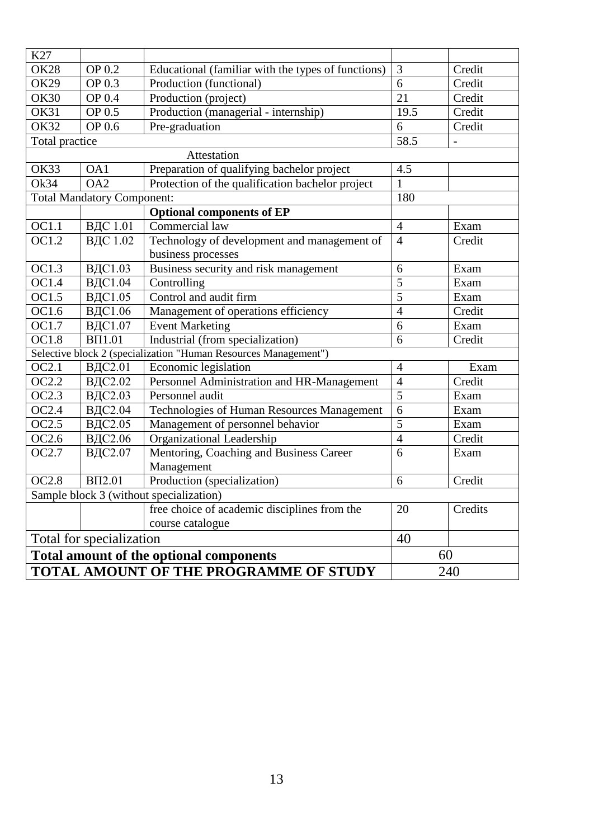|                            |                                         | <b>TOTAL AMOUNT OF THE PROGRAMME OF STUDY</b>                                 |                | 240              |  |  |  |  |  |  |  |  |  |
|----------------------------|-----------------------------------------|-------------------------------------------------------------------------------|----------------|------------------|--|--|--|--|--|--|--|--|--|
|                            | Total amount of the optional components |                                                                               | 60             |                  |  |  |  |  |  |  |  |  |  |
|                            | 40<br>Total for specialization          |                                                                               |                |                  |  |  |  |  |  |  |  |  |  |
|                            |                                         | course catalogue                                                              |                |                  |  |  |  |  |  |  |  |  |  |
|                            |                                         | free choice of academic disciplines from the                                  | 20             | Credits          |  |  |  |  |  |  |  |  |  |
|                            |                                         | Sample block 3 (without specialization)                                       |                |                  |  |  |  |  |  |  |  |  |  |
| <b>OC2.8</b>               | <b>BII2.01</b>                          | Production (specialization)                                                   | 6              | Credit           |  |  |  |  |  |  |  |  |  |
|                            |                                         | Management                                                                    |                |                  |  |  |  |  |  |  |  |  |  |
| OC2.7                      | ВДС2.07                                 | Mentoring, Coaching and Business Career                                       | 6              | Exam             |  |  |  |  |  |  |  |  |  |
| OC2.6                      | ВДС2.06                                 | Organizational Leadership                                                     | $\overline{4}$ | Credit           |  |  |  |  |  |  |  |  |  |
| OC2.5                      | ВДС2.05                                 | Management of personnel behavior                                              | 5              | Exam             |  |  |  |  |  |  |  |  |  |
| OC2.4                      | ВДС2.04                                 | Technologies of Human Resources Management                                    | 6              | Exam             |  |  |  |  |  |  |  |  |  |
| OC2.3                      | ВДС2.03                                 | Personnel audit                                                               | 5              | Exam             |  |  |  |  |  |  |  |  |  |
| OC2.2                      | ВДС2.02                                 | Personnel Administration and HR-Management                                    | $\overline{4}$ | Credit           |  |  |  |  |  |  |  |  |  |
| OC2.1                      | ВДС2.01                                 | Economic legislation                                                          | $\overline{4}$ | Exam             |  |  |  |  |  |  |  |  |  |
|                            |                                         | Selective block 2 (specialization "Human Resources Management")               |                |                  |  |  |  |  |  |  |  |  |  |
| OC1.8                      | <b>BΠ1.01</b>                           | Industrial (from specialization)                                              | 6              | Credit           |  |  |  |  |  |  |  |  |  |
| OC1.7                      | ВДС1.07                                 | <b>Event Marketing</b>                                                        | 6              | Exam             |  |  |  |  |  |  |  |  |  |
| OC1.6                      | ВДС1.06                                 | Management of operations efficiency                                           | $\overline{4}$ | Credit           |  |  |  |  |  |  |  |  |  |
| OC1.5                      | ВДС1.05                                 | Control and audit firm                                                        | 5              | Exam             |  |  |  |  |  |  |  |  |  |
| OC1.4                      | ВДС1.04                                 | Controlling                                                                   | 5              | Exam             |  |  |  |  |  |  |  |  |  |
| OC1.3                      | ВДС1.03                                 | Business security and risk management                                         | 6              | Exam             |  |  |  |  |  |  |  |  |  |
|                            |                                         | business processes                                                            |                |                  |  |  |  |  |  |  |  |  |  |
| OC1.2                      | ВДС 1.02                                | Technology of development and management of                                   | $\overline{4}$ | Credit           |  |  |  |  |  |  |  |  |  |
| OC1.1                      | ВДС 1.01                                | Commercial law                                                                | $\overline{4}$ | Exam             |  |  |  |  |  |  |  |  |  |
|                            |                                         | <b>Optional components of EP</b>                                              |                |                  |  |  |  |  |  |  |  |  |  |
|                            | <b>Total Mandatory Component:</b>       |                                                                               | 180            |                  |  |  |  |  |  |  |  |  |  |
| Ok34                       | OA2                                     | Protection of the qualification bachelor project                              | 1              |                  |  |  |  |  |  |  |  |  |  |
| <b>OK33</b>                | OA1                                     | Preparation of qualifying bachelor project                                    | 4.5            |                  |  |  |  |  |  |  |  |  |  |
|                            |                                         | Attestation                                                                   |                |                  |  |  |  |  |  |  |  |  |  |
| Total practice             |                                         |                                                                               | 58.5           |                  |  |  |  |  |  |  |  |  |  |
| <b>OK32</b>                | OP 0.6                                  | Pre-graduation                                                                | 6              | Credit           |  |  |  |  |  |  |  |  |  |
| <b>OK31</b>                | OP 0.5                                  | Production (managerial - internship)                                          | 19.5           | Credit           |  |  |  |  |  |  |  |  |  |
| <b>OK30</b>                | <b>OP 0.4</b>                           | Production (project)                                                          | 21             | Credit           |  |  |  |  |  |  |  |  |  |
| <b>OK28</b><br><b>OK29</b> | OP 0.2<br>OP 0.3                        | Educational (familiar with the types of functions)<br>Production (functional) | 6              | Credit<br>Credit |  |  |  |  |  |  |  |  |  |
| K27                        |                                         |                                                                               | 3              |                  |  |  |  |  |  |  |  |  |  |
|                            |                                         |                                                                               |                |                  |  |  |  |  |  |  |  |  |  |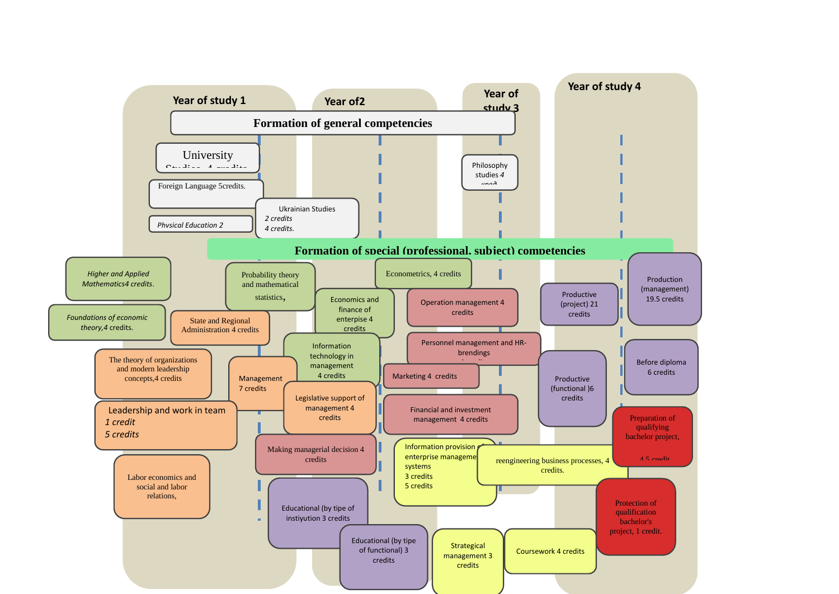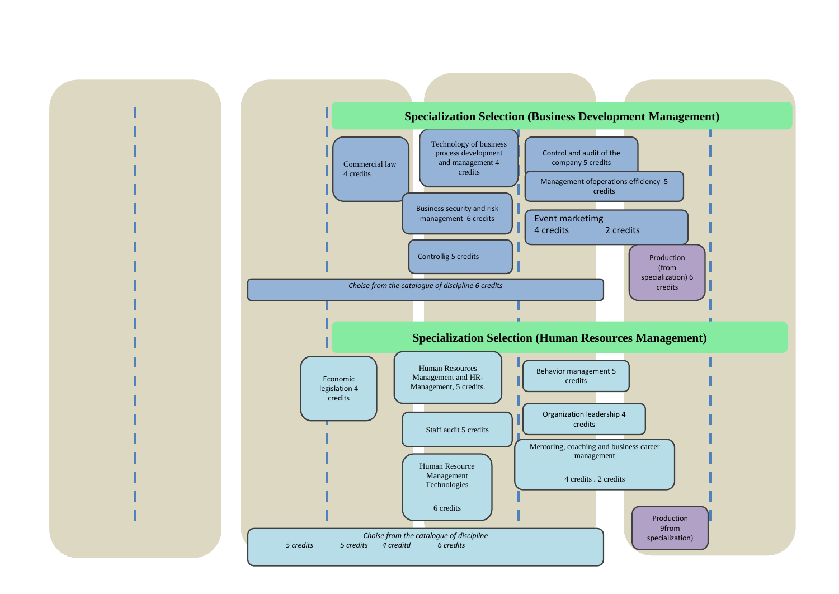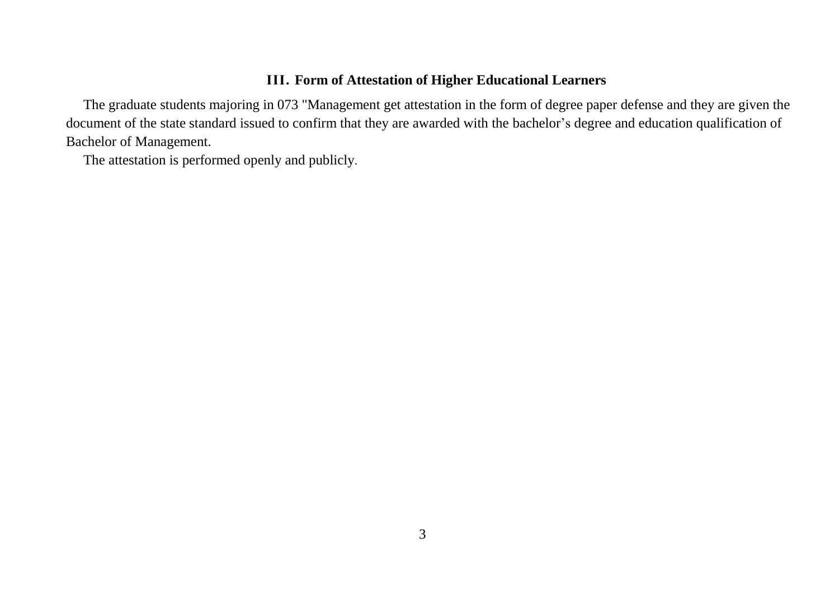## **ІІІ. Form of Attestation of Higher Educational Learners**

The graduate students majoring in 073 "Management get attestation in the form of degree paper defense and they are given the document of the state standard issued to confirm that they are awarded with the bachelor's degree and education qualification of Bachelor of Management.

The attestation is performed openly and publicly.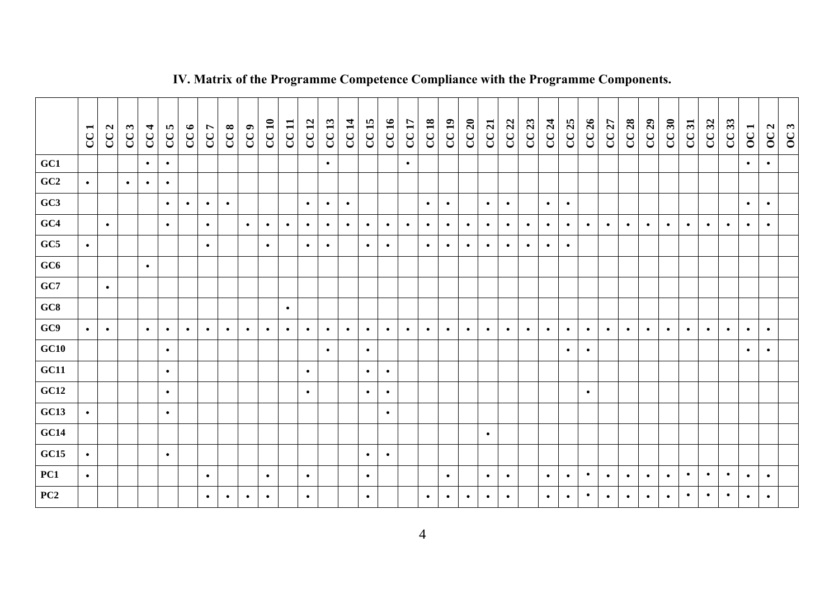|      | CC <sub>1</sub> | CC2       | CC3       | CC <sub>4</sub> | CC5       | CC6       | CC7       | CC8       | CC9       | CC10      | CC11      | CC12      | CC13      | CC 14     | CC15      | CC16      | CC17      | CC18      | CC19      | CC20      | CC21      | CC22      | CC23      | CC 24     | CC25      | CC26      | CC27      | CC28      | CC29      | CC30      | CC31      | CC32      | 33<br>${\bf C} {\bf C}$ | $\blacksquare$<br>$\overline{OC}$ | $\mathbf{a}$<br>$\overline{O}$ | OC3 |
|------|-----------------|-----------|-----------|-----------------|-----------|-----------|-----------|-----------|-----------|-----------|-----------|-----------|-----------|-----------|-----------|-----------|-----------|-----------|-----------|-----------|-----------|-----------|-----------|-----------|-----------|-----------|-----------|-----------|-----------|-----------|-----------|-----------|-------------------------|-----------------------------------|--------------------------------|-----|
| GC1  |                 |           |           | $\bullet$       | $\bullet$ |           |           |           |           |           |           |           | $\bullet$ |           |           |           | $\bullet$ |           |           |           |           |           |           |           |           |           |           |           |           |           |           |           |                         | $\bullet$                         | $\bullet$                      |     |
| GC2  | $\bullet$       |           | $\bullet$ | $\bullet$       | $\bullet$ |           |           |           |           |           |           |           |           |           |           |           |           |           |           |           |           |           |           |           |           |           |           |           |           |           |           |           |                         |                                   |                                |     |
| GC3  |                 |           |           |                 | $\bullet$ | $\bullet$ | $\bullet$ | $\bullet$ |           |           |           | $\bullet$ | $\bullet$ | $\bullet$ |           |           |           | $\bullet$ | $\bullet$ |           | $\bullet$ | $\bullet$ |           | $\bullet$ | $\bullet$ |           |           |           |           |           |           |           |                         | $\bullet$                         | $\bullet$                      |     |
| GC4  |                 | $\bullet$ |           |                 | $\bullet$ |           | $\bullet$ |           | $\bullet$ | $\bullet$ | $\bullet$ | $\bullet$ | $\bullet$ | $\bullet$ | $\bullet$ | $\bullet$ | $\bullet$ | $\bullet$ | $\bullet$ | $\bullet$ | $\bullet$ | $\bullet$ | $\bullet$ | $\bullet$ | $\bullet$ | $\bullet$ | $\bullet$ | $\bullet$ | $\bullet$ | $\bullet$ | $\bullet$ | $\bullet$ | $\bullet$               | $\bullet$                         | $\bullet$                      |     |
| GC5  | $\bullet$       |           |           |                 |           |           | $\bullet$ |           |           | $\bullet$ |           | $\bullet$ | $\bullet$ |           | $\bullet$ | $\bullet$ |           | $\bullet$ | $\bullet$ | $\bullet$ | $\bullet$ | $\bullet$ | $\bullet$ | $\bullet$ | $\bullet$ |           |           |           |           |           |           |           |                         |                                   |                                |     |
| GC6  |                 |           |           | $\bullet$       |           |           |           |           |           |           |           |           |           |           |           |           |           |           |           |           |           |           |           |           |           |           |           |           |           |           |           |           |                         |                                   |                                |     |
| GC7  |                 | $\bullet$ |           |                 |           |           |           |           |           |           |           |           |           |           |           |           |           |           |           |           |           |           |           |           |           |           |           |           |           |           |           |           |                         |                                   |                                |     |
| GC8  |                 |           |           |                 |           |           |           |           |           |           | $\bullet$ |           |           |           |           |           |           |           |           |           |           |           |           |           |           |           |           |           |           |           |           |           |                         |                                   |                                |     |
| GC9  | $\bullet$       | $\bullet$ |           | $\bullet$       | $\bullet$ | $\bullet$ | $\bullet$ | $\bullet$ | $\bullet$ | $\bullet$ | $\bullet$ | $\bullet$ | $\bullet$ | $\bullet$ | $\bullet$ | $\bullet$ | $\bullet$ | $\bullet$ | $\bullet$ | $\bullet$ | $\bullet$ | $\bullet$ | $\bullet$ | $\bullet$ | $\bullet$ | $\bullet$ | $\bullet$ | $\bullet$ | $\bullet$ | $\bullet$ | $\bullet$ | $\bullet$ | $\bullet$               | $\bullet$                         | $\bullet$                      |     |
| GC10 |                 |           |           |                 | $\bullet$ |           |           |           |           |           |           |           | $\bullet$ |           | $\bullet$ |           |           |           |           |           |           |           |           |           | $\bullet$ | $\bullet$ |           |           |           |           |           |           |                         | $\bullet$                         | $\bullet$                      |     |
| GC11 |                 |           |           |                 | $\bullet$ |           |           |           |           |           |           | $\bullet$ |           |           | $\bullet$ | $\bullet$ |           |           |           |           |           |           |           |           |           |           |           |           |           |           |           |           |                         |                                   |                                |     |
| GC12 |                 |           |           |                 | $\bullet$ |           |           |           |           |           |           | $\bullet$ |           |           | $\bullet$ | $\bullet$ |           |           |           |           |           |           |           |           |           | $\bullet$ |           |           |           |           |           |           |                         |                                   |                                |     |
| GC13 | $\bullet$       |           |           |                 | $\bullet$ |           |           |           |           |           |           |           |           |           |           | $\bullet$ |           |           |           |           |           |           |           |           |           |           |           |           |           |           |           |           |                         |                                   |                                |     |
| GC14 |                 |           |           |                 |           |           |           |           |           |           |           |           |           |           |           |           |           |           |           |           | $\bullet$ |           |           |           |           |           |           |           |           |           |           |           |                         |                                   |                                |     |
| GC15 | $\bullet$       |           |           |                 | $\bullet$ |           |           |           |           |           |           |           |           |           | $\bullet$ | $\bullet$ |           |           |           |           |           |           |           |           |           |           |           |           |           |           |           |           |                         |                                   |                                |     |
| PC1  | $\bullet$       |           |           |                 |           |           | $\bullet$ |           |           | $\bullet$ |           | $\bullet$ |           |           | $\bullet$ |           |           |           | $\bullet$ |           | $\bullet$ | $\bullet$ |           | $\bullet$ | $\bullet$ | $\bullet$ | $\bullet$ | $\bullet$ | $\bullet$ | $\bullet$ | $\bullet$ | $\bullet$ | $\bullet$               | $\bullet$                         | $\bullet$                      |     |
| PC2  |                 |           |           |                 |           |           | $\bullet$ | $\bullet$ | $\bullet$ | $\bullet$ |           | $\bullet$ |           |           | $\bullet$ |           |           | $\bullet$ | $\bullet$ | $\bullet$ | $\bullet$ | $\bullet$ |           | $\bullet$ | $\bullet$ | $\bullet$ | $\bullet$ | $\bullet$ | $\bullet$ | $\bullet$ | $\bullet$ | $\bullet$ | $\bullet$               | $\bullet$                         | $\bullet$                      |     |

# **ІV. Matrix of the Programme Competence Compliance with the Programme Components.**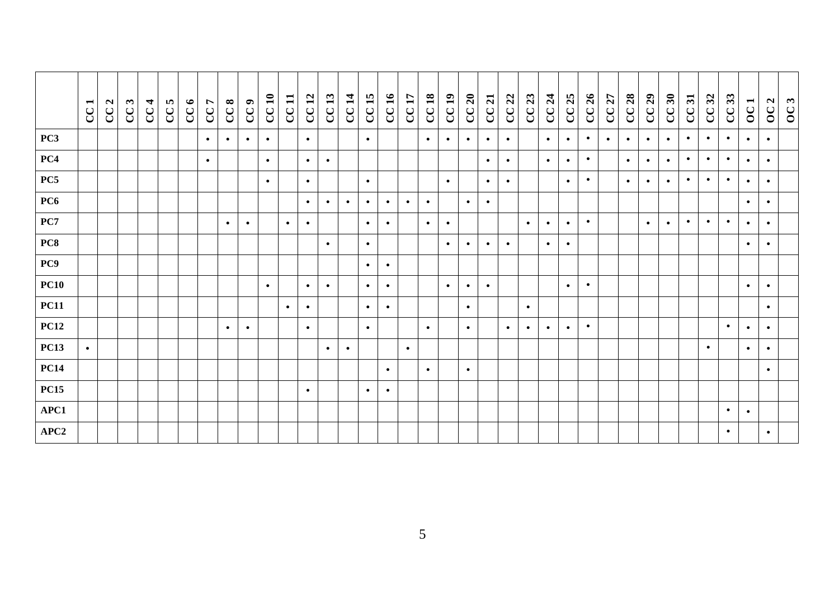|                 | CC <sub>1</sub> | CC2 | CC3 | CC <sub>4</sub> | CC5 | CC6 | CC7       | CC8       | $\bullet$<br>C | CC <sub>10</sub> | $\mathbf{I}$<br>$\mathbf{C}$ | $\mathbf{r}$<br>$\mathbf{C}$ | CC13      | $\overline{\mathbf{1}}$<br>C | 15<br>$\mathbf{C}$ | CC16      | CC17      | CC18      | CC19      | CC20      | CC21      | CC 22     | CC23      | CC 24     | CC25      | CC26      | CC27      | CC28      | CC29      | CC30      | 51<br>$\mathbf{C}\mathbf{C}$ | 32<br>${\bf C}$ | 33<br>${\bf C}$ | $\blacksquare$<br>$\overline{OC}$ | $\mathbf{a}$<br>$\overline{OC}$ | $\mathbf{c}$<br>$\mathcal{S}$ |
|-----------------|-----------------|-----|-----|-----------------|-----|-----|-----------|-----------|----------------|------------------|------------------------------|------------------------------|-----------|------------------------------|--------------------|-----------|-----------|-----------|-----------|-----------|-----------|-----------|-----------|-----------|-----------|-----------|-----------|-----------|-----------|-----------|------------------------------|-----------------|-----------------|-----------------------------------|---------------------------------|-------------------------------|
| PC3             |                 |     |     |                 |     |     | $\bullet$ | $\bullet$ | $\bullet$      | $\bullet$        |                              | $\bullet$                    |           |                              | $\bullet$          |           |           | $\bullet$ | $\bullet$ | $\bullet$ | $\bullet$ | $\bullet$ |           | $\bullet$ | $\bullet$ | $\bullet$ | $\bullet$ | $\bullet$ | $\bullet$ | $\bullet$ | $\bullet$                    | $\bullet$       | $\bullet$       | $\bullet$                         | $\bullet$                       |                               |
| PC4             |                 |     |     |                 |     |     | $\bullet$ |           |                | $\bullet$        |                              | $\bullet$                    | $\bullet$ |                              |                    |           |           |           |           |           | $\bullet$ | $\bullet$ |           | $\bullet$ | $\bullet$ | $\bullet$ |           | $\bullet$ | $\bullet$ | $\bullet$ | $\bullet$                    | $\bullet$       | $\bullet$       | $\bullet$                         | $\bullet$                       |                               |
| PC5             |                 |     |     |                 |     |     |           |           |                | $\bullet$        |                              | $\bullet$                    |           |                              | $\bullet$          |           |           |           | $\bullet$ |           | $\bullet$ | $\bullet$ |           |           | $\bullet$ | $\bullet$ |           | $\bullet$ | $\bullet$ | $\bullet$ | $\bullet$                    | $\bullet$       | $\bullet$       | $\bullet$                         | $\bullet$                       |                               |
| PC <sub>6</sub> |                 |     |     |                 |     |     |           |           |                |                  |                              | $\bullet$                    | $\bullet$ | $\bullet$                    | $\bullet$          | $\bullet$ | $\bullet$ | $\bullet$ |           | $\bullet$ | $\bullet$ |           |           |           |           |           |           |           |           |           |                              |                 |                 | $\bullet$                         | $\bullet$                       |                               |
| PC7             |                 |     |     |                 |     |     |           | $\bullet$ | $\bullet$      |                  | $\bullet$                    | $\bullet$                    |           |                              | $\bullet$          | $\bullet$ |           | $\bullet$ | $\bullet$ |           |           |           | $\bullet$ | $\bullet$ | $\bullet$ | $\bullet$ |           |           | $\bullet$ | $\bullet$ | $\bullet$                    | $\bullet$       | $\bullet$       | $\bullet$                         | $\bullet$                       |                               |
| PC8             |                 |     |     |                 |     |     |           |           |                |                  |                              |                              | $\bullet$ |                              | $\bullet$          |           |           |           | $\bullet$ | $\bullet$ | $\bullet$ | $\bullet$ |           | $\bullet$ | $\bullet$ |           |           |           |           |           |                              |                 |                 | $\bullet$                         | $\bullet$                       |                               |
| PC9             |                 |     |     |                 |     |     |           |           |                |                  |                              |                              |           |                              | $\bullet$          | $\bullet$ |           |           |           |           |           |           |           |           |           |           |           |           |           |           |                              |                 |                 |                                   |                                 |                               |
| <b>PC10</b>     |                 |     |     |                 |     |     |           |           |                | $\bullet$        |                              | $\bullet$                    | $\bullet$ |                              | $\bullet$          | $\bullet$ |           |           | $\bullet$ | $\bullet$ | $\bullet$ |           |           |           | $\bullet$ | $\bullet$ |           |           |           |           |                              |                 |                 | $\bullet$                         | $\bullet$                       |                               |
| <b>PC11</b>     |                 |     |     |                 |     |     |           |           |                |                  | $\bullet$                    | $\bullet$                    |           |                              | $\bullet$          | $\bullet$ |           |           |           | $\bullet$ |           |           | $\bullet$ |           |           |           |           |           |           |           |                              |                 |                 |                                   | $\bullet$                       |                               |
| <b>PC12</b>     |                 |     |     |                 |     |     |           | $\bullet$ | $\bullet$      |                  |                              | $\bullet$                    |           |                              | $\bullet$          |           |           | $\bullet$ |           | $\bullet$ |           | $\bullet$ | $\bullet$ | $\bullet$ | $\bullet$ | $\bullet$ |           |           |           |           |                              |                 | $\bullet$       | $\bullet$                         | $\bullet$                       |                               |
| <b>PC13</b>     | $\bullet$       |     |     |                 |     |     |           |           |                |                  |                              |                              | $\bullet$ | $\bullet$                    |                    |           | $\bullet$ |           |           |           |           |           |           |           |           |           |           |           |           |           |                              | $\bullet$       |                 | $\bullet$                         | $\bullet$                       |                               |
| <b>PC14</b>     |                 |     |     |                 |     |     |           |           |                |                  |                              |                              |           |                              |                    | $\bullet$ |           | $\bullet$ |           | $\bullet$ |           |           |           |           |           |           |           |           |           |           |                              |                 |                 |                                   | $\bullet$                       |                               |
| <b>PC15</b>     |                 |     |     |                 |     |     |           |           |                |                  |                              | $\bullet$                    |           |                              | $\bullet$          | $\bullet$ |           |           |           |           |           |           |           |           |           |           |           |           |           |           |                              |                 |                 |                                   |                                 |                               |
| APC1            |                 |     |     |                 |     |     |           |           |                |                  |                              |                              |           |                              |                    |           |           |           |           |           |           |           |           |           |           |           |           |           |           |           |                              |                 | $\bullet$       | $\bullet$                         |                                 |                               |
| APC2            |                 |     |     |                 |     |     |           |           |                |                  |                              |                              |           |                              |                    |           |           |           |           |           |           |           |           |           |           |           |           |           |           |           |                              |                 | $\bullet$       |                                   | $\bullet$                       |                               |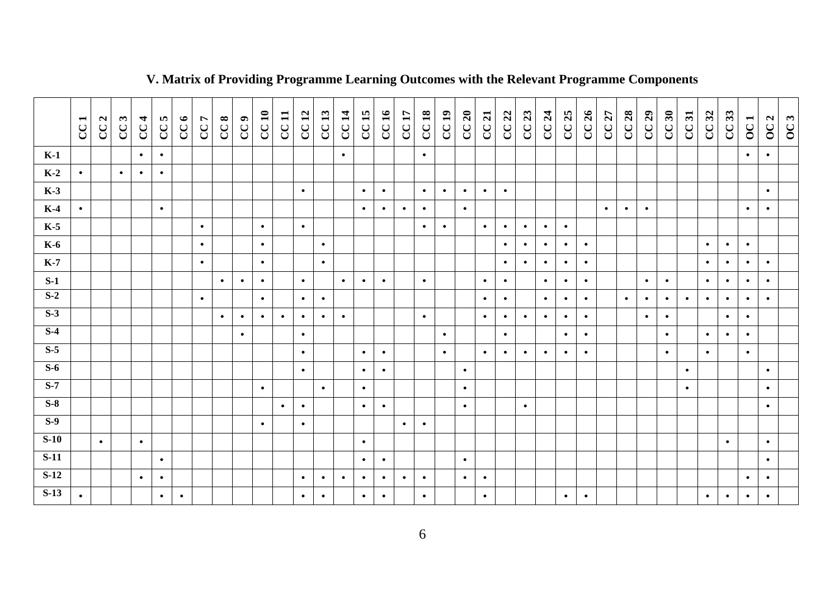|        | $\overline{\phantom{0}}$<br>$\mathcal{C}$ | $\mathbf{a}$<br>$\overline{C}$ | $\boldsymbol{\omega}$<br>$\overline{C}$ | $\overline{4}$<br>$\overline{C}$ | CC5       | CC6       | CC7       | CC8       | CC9       | CC10      | CC11      | CC12      | CC13      | <b>CC14</b> | CC15      | CC16      | CC17      | CC18      | CC19      | CC20      | CC21      | CC22      | CC23      | CC 24     | CC 25     | CC 26     | CC27      | CC28      | CC29      | CC30      | CC31      | CC32      | CC33      | OC1       | OC <sub>2</sub> | OC3 |
|--------|-------------------------------------------|--------------------------------|-----------------------------------------|----------------------------------|-----------|-----------|-----------|-----------|-----------|-----------|-----------|-----------|-----------|-------------|-----------|-----------|-----------|-----------|-----------|-----------|-----------|-----------|-----------|-----------|-----------|-----------|-----------|-----------|-----------|-----------|-----------|-----------|-----------|-----------|-----------------|-----|
| $K-1$  |                                           |                                |                                         | $\bullet$                        | $\bullet$ |           |           |           |           |           |           |           |           | $\bullet$   |           |           |           | $\bullet$ |           |           |           |           |           |           |           |           |           |           |           |           |           |           |           | $\bullet$ | $\bullet$       |     |
| $K-2$  | $\bullet$                                 |                                | $\bullet$                               | $\bullet$                        | $\bullet$ |           |           |           |           |           |           |           |           |             |           |           |           |           |           |           |           |           |           |           |           |           |           |           |           |           |           |           |           |           |                 |     |
| $K-3$  |                                           |                                |                                         |                                  |           |           |           |           |           |           |           | $\bullet$ |           |             | $\bullet$ | $\bullet$ |           | $\bullet$ | $\bullet$ | $\bullet$ | $\bullet$ | $\bullet$ |           |           |           |           |           |           |           |           |           |           |           |           | $\bullet$       |     |
| $K-4$  | $\bullet$                                 |                                |                                         |                                  | $\bullet$ |           |           |           |           |           |           |           |           |             | $\bullet$ | $\bullet$ | $\bullet$ | $\bullet$ |           | $\bullet$ |           |           |           |           |           |           | $\bullet$ | $\bullet$ | $\bullet$ |           |           |           |           | $\bullet$ | $\bullet$       |     |
| $K-5$  |                                           |                                |                                         |                                  |           |           | $\bullet$ |           |           | $\bullet$ |           | $\bullet$ |           |             |           |           |           | $\bullet$ | $\bullet$ |           | $\bullet$ | $\bullet$ | $\bullet$ | $\bullet$ | $\bullet$ |           |           |           |           |           |           |           |           |           |                 |     |
| $K-6$  |                                           |                                |                                         |                                  |           |           | $\bullet$ |           |           | $\bullet$ |           |           | $\bullet$ |             |           |           |           |           |           |           |           | $\bullet$ | $\bullet$ | $\bullet$ | $\bullet$ | $\bullet$ |           |           |           |           |           | $\bullet$ | $\bullet$ | $\bullet$ |                 |     |
| $K-7$  |                                           |                                |                                         |                                  |           |           | $\bullet$ |           |           | $\bullet$ |           |           | $\bullet$ |             |           |           |           |           |           |           |           | $\bullet$ | $\bullet$ | $\bullet$ | $\bullet$ | $\bullet$ |           |           |           |           |           | $\bullet$ | $\bullet$ | $\bullet$ | $\bullet$       |     |
| $S-1$  |                                           |                                |                                         |                                  |           |           |           | $\bullet$ | $\bullet$ | $\bullet$ |           | $\bullet$ |           | $\bullet$   | $\bullet$ | $\bullet$ |           | $\bullet$ |           |           | $\bullet$ | $\bullet$ |           | $\bullet$ | $\bullet$ | $\bullet$ |           |           | $\bullet$ | $\bullet$ |           | $\bullet$ | $\bullet$ | $\bullet$ | $\bullet$       |     |
| $S-2$  |                                           |                                |                                         |                                  |           |           | $\bullet$ |           |           | $\bullet$ |           | $\bullet$ | $\bullet$ |             |           |           |           |           |           |           | $\bullet$ | $\bullet$ |           | $\bullet$ | $\bullet$ | $\bullet$ |           | $\bullet$ | $\bullet$ | $\bullet$ | $\bullet$ | $\bullet$ | $\bullet$ | $\bullet$ | $\bullet$       |     |
| $S-3$  |                                           |                                |                                         |                                  |           |           |           | $\bullet$ | $\bullet$ | $\bullet$ | $\bullet$ | $\bullet$ | $\bullet$ | $\bullet$   |           |           |           | $\bullet$ |           |           | $\bullet$ | $\bullet$ | $\bullet$ | $\bullet$ | $\bullet$ | $\bullet$ |           |           | $\bullet$ | $\bullet$ |           |           | $\bullet$ | $\bullet$ |                 |     |
| $S-4$  |                                           |                                |                                         |                                  |           |           |           |           | $\bullet$ |           |           | $\bullet$ |           |             |           |           |           |           | $\bullet$ |           |           | $\bullet$ |           |           | $\bullet$ | $\bullet$ |           |           |           | $\bullet$ |           | $\bullet$ | $\bullet$ | $\bullet$ |                 |     |
| $S-5$  |                                           |                                |                                         |                                  |           |           |           |           |           |           |           | $\bullet$ |           |             | $\bullet$ | $\bullet$ |           |           | $\bullet$ |           | $\bullet$ | $\bullet$ | $\bullet$ | $\bullet$ | $\bullet$ | $\bullet$ |           |           |           | $\bullet$ |           | $\bullet$ |           | $\bullet$ |                 |     |
| $S-6$  |                                           |                                |                                         |                                  |           |           |           |           |           |           |           | $\bullet$ |           |             | $\bullet$ | $\bullet$ |           |           |           | $\bullet$ |           |           |           |           |           |           |           |           |           |           | $\bullet$ |           |           |           | $\bullet$       |     |
| $S-7$  |                                           |                                |                                         |                                  |           |           |           |           |           | $\bullet$ |           |           | $\bullet$ |             | $\bullet$ |           |           |           |           | $\bullet$ |           |           |           |           |           |           |           |           |           |           | $\bullet$ |           |           |           | $\bullet$       |     |
| $S-8$  |                                           |                                |                                         |                                  |           |           |           |           |           |           | $\bullet$ | $\bullet$ |           |             | $\bullet$ | $\bullet$ |           |           |           | $\bullet$ |           |           | $\bullet$ |           |           |           |           |           |           |           |           |           |           |           | $\bullet$       |     |
| $S-9$  |                                           |                                |                                         |                                  |           |           |           |           |           | $\bullet$ |           | $\bullet$ |           |             |           |           | $\bullet$ | $\bullet$ |           |           |           |           |           |           |           |           |           |           |           |           |           |           |           |           |                 |     |
| $S-10$ |                                           | $\bullet$                      |                                         | $\bullet$                        |           |           |           |           |           |           |           |           |           |             | $\bullet$ |           |           |           |           |           |           |           |           |           |           |           |           |           |           |           |           |           | $\bullet$ |           | $\bullet$       |     |
| $S-11$ |                                           |                                |                                         |                                  | $\bullet$ |           |           |           |           |           |           |           |           |             | $\bullet$ | $\bullet$ |           |           |           | $\bullet$ |           |           |           |           |           |           |           |           |           |           |           |           |           |           | $\bullet$       |     |
| $S-12$ |                                           |                                |                                         | $\bullet$                        | $\bullet$ |           |           |           |           |           |           | $\bullet$ | $\bullet$ | $\bullet$   | $\bullet$ | $\bullet$ | $\bullet$ | $\bullet$ |           | $\bullet$ | $\bullet$ |           |           |           |           |           |           |           |           |           |           |           |           | $\bullet$ | $\bullet$       |     |
| $S-13$ | $\bullet$                                 |                                |                                         |                                  | $\bullet$ | $\bullet$ |           |           |           |           |           | $\bullet$ | $\bullet$ |             | $\bullet$ | $\bullet$ |           | $\bullet$ |           |           | $\bullet$ |           |           |           | $\bullet$ | $\bullet$ |           |           |           |           |           | $\bullet$ | $\bullet$ | $\bullet$ | $\bullet$       |     |

# **V. Matrix of Providing Programme Learning Outcomes with the Relevant Programme Components**